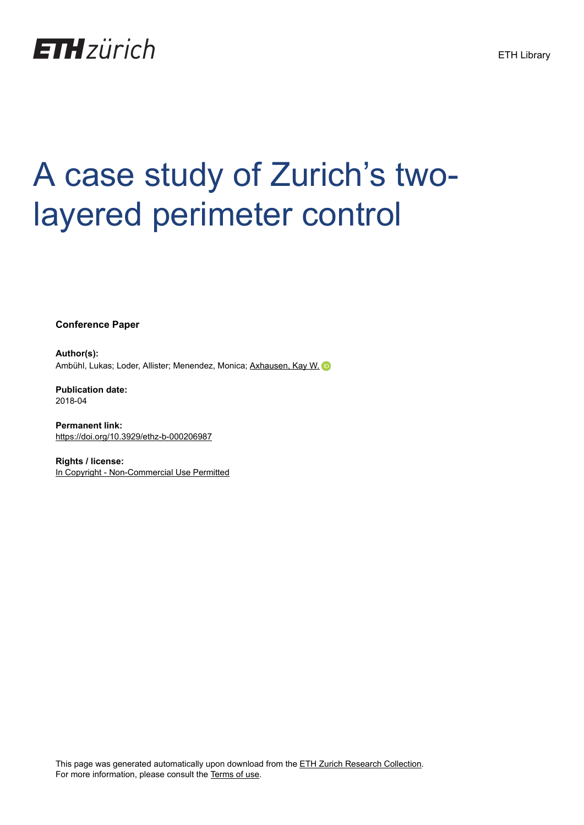

# A case study of Zurich's twolayered perimeter control

**Conference Paper**

**Author(s):** Ambühl, Lukas; Loder, Allister; Menendez, Monica; [Axhausen, Kay W.](https://orcid.org/0000-0003-3331-1318) (D

**Publication date:** 2018-04

**Permanent link:** <https://doi.org/10.3929/ethz-b-000206987>

**Rights / license:** [In Copyright - Non-Commercial Use Permitted](http://rightsstatements.org/page/InC-NC/1.0/)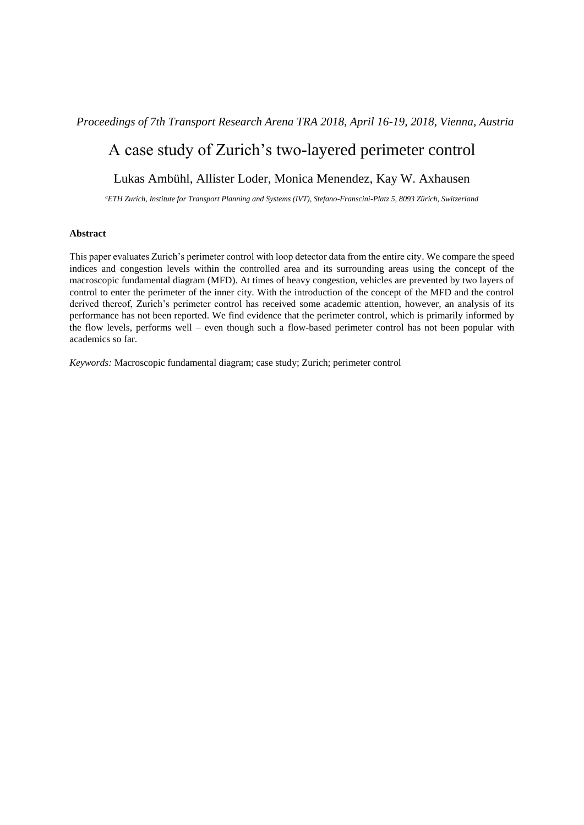### *Proceedings of 7th Transport Research Arena TRA 2018, April 16-19, 2018, Vienna, Austria*

# A case study of Zurich's two-layered perimeter control

## Lukas Ambühl, Allister Loder, Monica Menendez, Kay W. Axhausen

*<sup>a</sup>ETH Zurich, Institute for Transport Planning and Systems (IVT), Stefano-Franscini-Platz 5, 8093 Zürich, Switzerland*

#### **Abstract**

This paper evaluates Zurich's perimeter control with loop detector data from the entire city. We compare the speed indices and congestion levels within the controlled area and its surrounding areas using the concept of the macroscopic fundamental diagram (MFD). At times of heavy congestion, vehicles are prevented by two layers of control to enter the perimeter of the inner city. With the introduction of the concept of the MFD and the control derived thereof, Zurich's perimeter control has received some academic attention, however, an analysis of its performance has not been reported. We find evidence that the perimeter control, which is primarily informed by the flow levels, performs well – even though such a flow-based perimeter control has not been popular with academics so far.

*Keywords:* Macroscopic fundamental diagram; case study; Zurich; perimeter control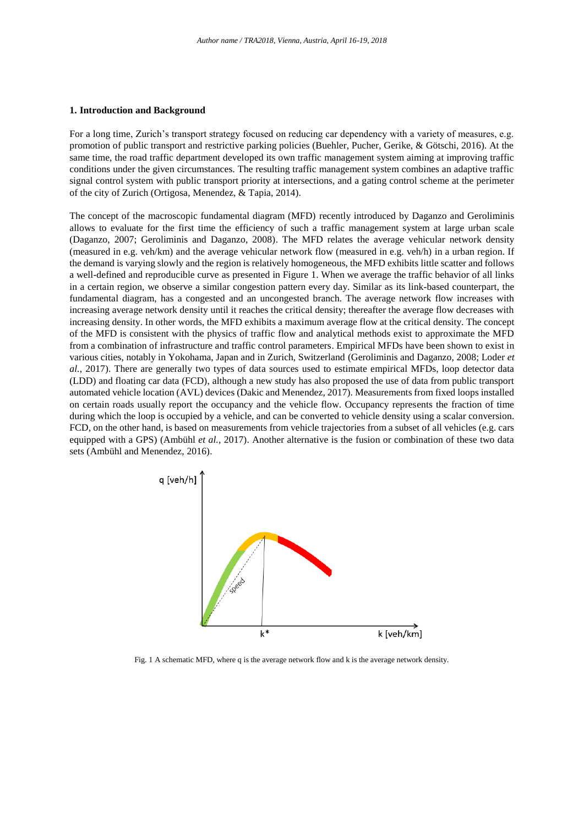#### **1. Introduction and Background**

For a long time, Zurich's transport strategy focused on reducing car dependency with a variety of measures, e.g. promotion of public transport and restrictive parking policies (Buehler, Pucher, Gerike, & Götschi, 2016). At the same time, the road traffic department developed its own traffic management system aiming at improving traffic conditions under the given circumstances. The resulting traffic management system combines an adaptive traffic signal control system with public transport priority at intersections, and a gating control scheme at the perimeter of the city of Zurich (Ortigosa, Menendez, & Tapia, 2014).

The concept of the macroscopic fundamental diagram (MFD) recently introduced by Daganzo and Geroliminis allows to evaluate for the first time the efficiency of such a traffic management system at large urban scale (Daganzo, 2007; Geroliminis and Daganzo, 2008). The MFD relates the average vehicular network density (measured in e.g. veh/km) and the average vehicular network flow (measured in e.g. veh/h) in a urban region. If the demand is varying slowly and the region is relatively homogeneous, the MFD exhibits little scatter and follows a well-defined and reproducible curve as presented in Figure 1. When we average the traffic behavior of all links in a certain region, we observe a similar congestion pattern every day. Similar as its link-based counterpart, the fundamental diagram, has a congested and an uncongested branch. The average network flow increases with increasing average network density until it reaches the critical density; thereafter the average flow decreases with increasing density. In other words, the MFD exhibits a maximum average flow at the critical density. The concept of the MFD is consistent with the physics of traffic flow and analytical methods exist to approximate the MFD from a combination of infrastructure and traffic control parameters. Empirical MFDs have been shown to exist in various cities, notably in Yokohama, Japan and in Zurich, Switzerland (Geroliminis and Daganzo, 2008; Loder *et al.*, 2017). There are generally two types of data sources used to estimate empirical MFDs, loop detector data (LDD) and floating car data (FCD), although a new study has also proposed the use of data from public transport automated vehicle location (AVL) devices (Dakic and Menendez, 2017). Measurements from fixed loops installed on certain roads usually report the occupancy and the vehicle flow. Occupancy represents the fraction of time during which the loop is occupied by a vehicle, and can be converted to vehicle density using a scalar conversion. FCD, on the other hand, is based on measurements from vehicle trajectories from a subset of all vehicles (e.g. cars equipped with a GPS) (Ambühl *et al.*, 2017). Another alternative is the fusion or combination of these two data sets (Ambühl and Menendez, 2016).



Fig. 1 A schematic MFD, where q is the average network flow and k is the average network density.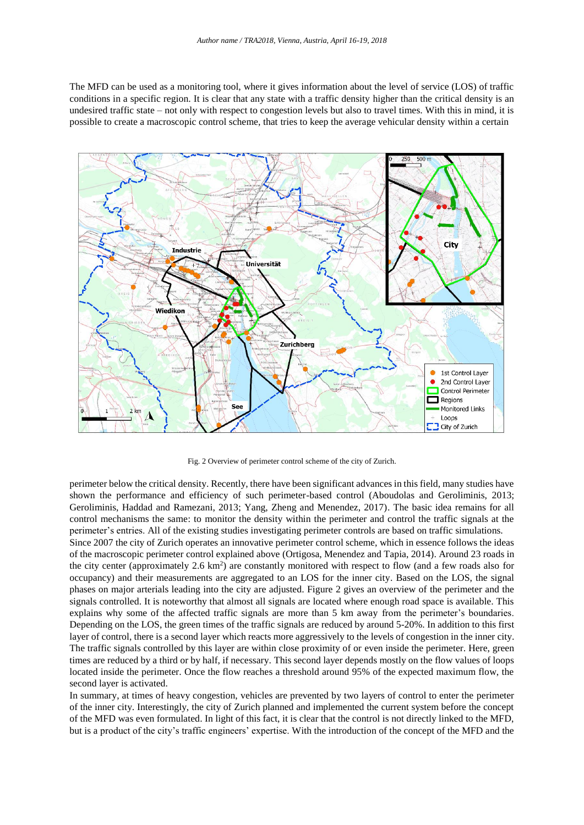The MFD can be used as a monitoring tool, where it gives information about the level of service (LOS) of traffic conditions in a specific region. It is clear that any state with a traffic density higher than the critical density is an undesired traffic state – not only with respect to congestion levels but also to travel times. With this in mind, it is possible to create a macroscopic control scheme, that tries to keep the average vehicular density within a certain



Fig. 2 Overview of perimeter control scheme of the city of Zurich.

perimeter below the critical density. Recently, there have been significant advances in this field, many studies have shown the performance and efficiency of such perimeter-based control (Aboudolas and Geroliminis, 2013; Geroliminis, Haddad and Ramezani, 2013; Yang, Zheng and Menendez, 2017). The basic idea remains for all control mechanisms the same: to monitor the density within the perimeter and control the traffic signals at the perimeter's entries. All of the existing studies investigating perimeter controls are based on traffic simulations.

Since 2007 the city of Zurich operates an innovative perimeter control scheme, which in essence follows the ideas of the macroscopic perimeter control explained above (Ortigosa, Menendez and Tapia, 2014). Around 23 roads in the city center (approximately  $2.6 \text{ km}^2$ ) are constantly monitored with respect to flow (and a few roads also for occupancy) and their measurements are aggregated to an LOS for the inner city. Based on the LOS, the signal phases on major arterials leading into the city are adjusted. Figure 2 gives an overview of the perimeter and the signals controlled. It is noteworthy that almost all signals are located where enough road space is available. This explains why some of the affected traffic signals are more than 5 km away from the perimeter's boundaries. Depending on the LOS, the green times of the traffic signals are reduced by around 5-20%. In addition to this first layer of control, there is a second layer which reacts more aggressively to the levels of congestion in the inner city. The traffic signals controlled by this layer are within close proximity of or even inside the perimeter. Here, green times are reduced by a third or by half, if necessary. This second layer depends mostly on the flow values of loops located inside the perimeter. Once the flow reaches a threshold around 95% of the expected maximum flow, the second layer is activated.

In summary, at times of heavy congestion, vehicles are prevented by two layers of control to enter the perimeter of the inner city. Interestingly, the city of Zurich planned and implemented the current system before the concept of the MFD was even formulated. In light of this fact, it is clear that the control is not directly linked to the MFD, but is a product of the city's traffic engineers' expertise. With the introduction of the concept of the MFD and the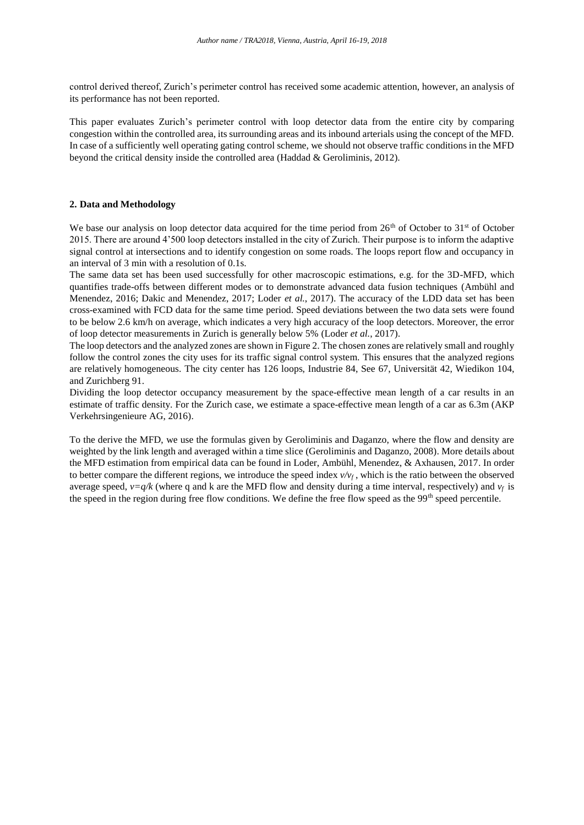control derived thereof, Zurich's perimeter control has received some academic attention, however, an analysis of its performance has not been reported.

This paper evaluates Zurich's perimeter control with loop detector data from the entire city by comparing congestion within the controlled area, its surrounding areas and its inbound arterials using the concept of the MFD. In case of a sufficiently well operating gating control scheme, we should not observe traffic conditions in the MFD beyond the critical density inside the controlled area (Haddad & Geroliminis, 2012).

#### **2. Data and Methodology**

We base our analysis on loop detector data acquired for the time period from  $26<sup>th</sup>$  of October to  $31<sup>st</sup>$  of October 2015. There are around 4'500 loop detectors installed in the city of Zurich. Their purpose is to inform the adaptive signal control at intersections and to identify congestion on some roads. The loops report flow and occupancy in an interval of 3 min with a resolution of 0.1s.

The same data set has been used successfully for other macroscopic estimations, e.g. for the 3D-MFD, which quantifies trade-offs between different modes or to demonstrate advanced data fusion techniques (Ambühl and Menendez, 2016; Dakic and Menendez, 2017; Loder *et al.*, 2017). The accuracy of the LDD data set has been cross-examined with FCD data for the same time period. Speed deviations between the two data sets were found to be below 2.6 km/h on average, which indicates a very high accuracy of the loop detectors. Moreover, the error of loop detector measurements in Zurich is generally below 5% (Loder *et al.*, 2017).

The loop detectors and the analyzed zones are shown in Figure 2. The chosen zones are relatively small and roughly follow the control zones the city uses for its traffic signal control system. This ensures that the analyzed regions are relatively homogeneous. The city center has 126 loops, Industrie 84, See 67, Universität 42, Wiedikon 104, and Zurichberg 91.

Dividing the loop detector occupancy measurement by the space-effective mean length of a car results in an estimate of traffic density. For the Zurich case, we estimate a space-effective mean length of a car as 6.3m (AKP Verkehrsingenieure AG, 2016).

To the derive the MFD, we use the formulas given by Geroliminis and Daganzo, where the flow and density are weighted by the link length and averaged within a time slice (Geroliminis and Daganzo, 2008). More details about the MFD estimation from empirical data can be found in Loder, Ambühl, Menendez, & Axhausen, 2017. In order to better compare the different regions, we introduce the speed index  $v/v_f$ , which is the ratio between the observed average speed,  $v=q/k$  (where q and k are the MFD flow and density during a time interval, respectively) and  $v_f$  is the speed in the region during free flow conditions. We define the free flow speed as the  $99<sup>th</sup>$  speed percentile.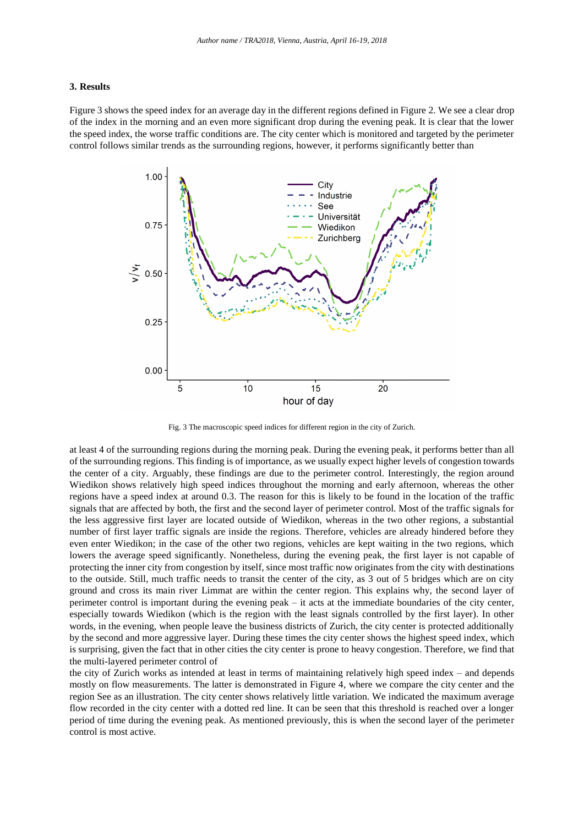#### **3. Results**

Figure 3 shows the speed index for an average day in the different regions defined in Figure 2. We see a clear drop of the index in the morning and an even more significant drop during the evening peak. It is clear that the lower the speed index, the worse traffic conditions are. The city center which is monitored and targeted by the perimeter control follows similar trends as the surrounding regions, however, it performs significantly better than



Fig. 3 The macroscopic speed indices for different region in the city of Zurich.

at least 4 of the surrounding regions during the morning peak. During the evening peak, it performs better than all of the surrounding regions. This finding is of importance, as we usually expect higher levels of congestion towards the center of a city. Arguably, these findings are due to the perimeter control. Interestingly, the region around Wiedikon shows relatively high speed indices throughout the morning and early afternoon, whereas the other regions have a speed index at around 0.3. The reason for this is likely to be found in the location of the traffic signals that are affected by both, the first and the second layer of perimeter control. Most of the traffic signals for the less aggressive first layer are located outside of Wiedikon, whereas in the two other regions, a substantial number of first layer traffic signals are inside the regions. Therefore, vehicles are already hindered before they even enter Wiedikon; in the case of the other two regions, vehicles are kept waiting in the two regions, which lowers the average speed significantly. Nonetheless, during the evening peak, the first layer is not capable of protecting the inner city from congestion by itself, since most traffic now originates from the city with destinations to the outside. Still, much traffic needs to transit the center of the city, as 3 out of 5 bridges which are on city ground and cross its main river Limmat are within the center region. This explains why, the second layer of perimeter control is important during the evening peak – it acts at the immediate boundaries of the city center, especially towards Wiedikon (which is the region with the least signals controlled by the first layer). In other words, in the evening, when people leave the business districts of Zurich, the city center is protected additionally by the second and more aggressive layer. During these times the city center shows the highest speed index, which is surprising, given the fact that in other cities the city center is prone to heavy congestion. Therefore, we find that the multi-layered perimeter control of

the city of Zurich works as intended at least in terms of maintaining relatively high speed index – and depends mostly on flow measurements. The latter is demonstrated in Figure 4, where we compare the city center and the region See as an illustration. The city center shows relatively little variation. We indicated the maximum average flow recorded in the city center with a dotted red line. It can be seen that this threshold is reached over a longer period of time during the evening peak. As mentioned previously, this is when the second layer of the perimeter control is most active.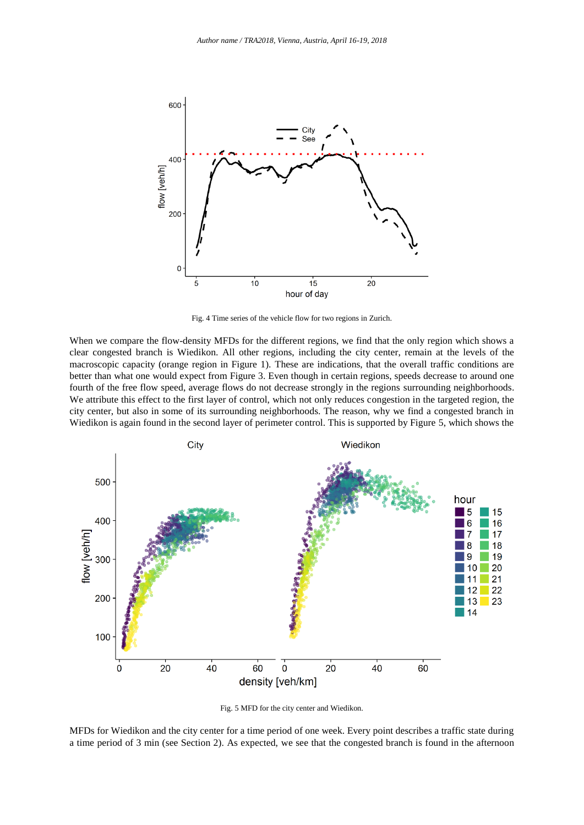

Fig. 4 Time series of the vehicle flow for two regions in Zurich.

When we compare the flow-density MFDs for the different regions, we find that the only region which shows a clear congested branch is Wiedikon. All other regions, including the city center, remain at the levels of the macroscopic capacity (orange region in Figure 1). These are indications, that the overall traffic conditions are better than what one would expect from Figure 3. Even though in certain regions, speeds decrease to around one fourth of the free flow speed, average flows do not decrease strongly in the regions surrounding neighborhoods. We attribute this effect to the first layer of control, which not only reduces congestion in the targeted region, the city center, but also in some of its surrounding neighborhoods. The reason, why we find a congested branch in Wiedikon is again found in the second layer of perimeter control. This is supported by Figure 5, which shows the



Fig. 5 MFD for the city center and Wiedikon.

MFDs for Wiedikon and the city center for a time period of one week. Every point describes a traffic state during a time period of 3 min (see Section 2). As expected, we see that the congested branch is found in the afternoon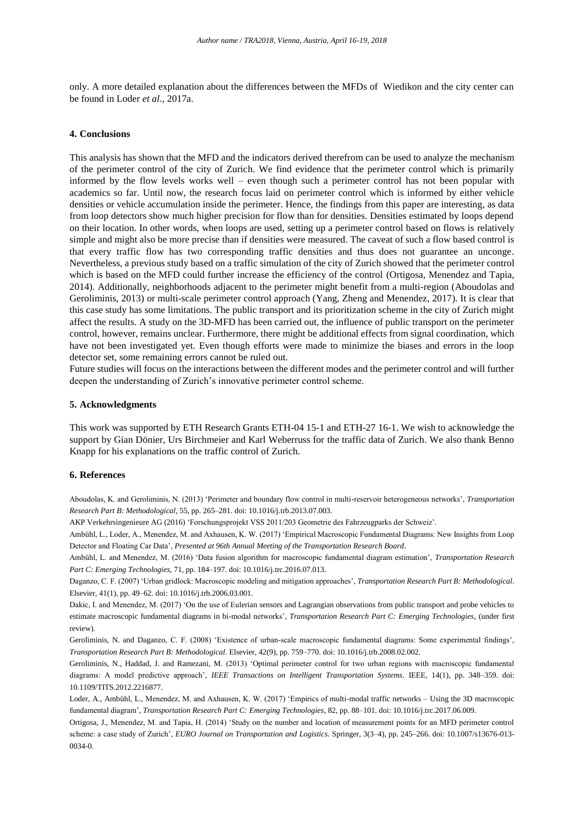only. A more detailed explanation about the differences between the MFDs of Wiedikon and the city center can be found in Loder *et al.*, 2017a.

#### **4. Conclusions**

This analysis has shown that the MFD and the indicators derived therefrom can be used to analyze the mechanism of the perimeter control of the city of Zurich. We find evidence that the perimeter control which is primarily informed by the flow levels works well – even though such a perimeter control has not been popular with academics so far. Until now, the research focus laid on perimeter control which is informed by either vehicle densities or vehicle accumulation inside the perimeter. Hence, the findings from this paper are interesting, as data from loop detectors show much higher precision for flow than for densities. Densities estimated by loops depend on their location. In other words, when loops are used, setting up a perimeter control based on flows is relatively simple and might also be more precise than if densities were measured. The caveat of such a flow based control is that every traffic flow has two corresponding traffic densities and thus does not guarantee an unconge. Nevertheless, a previous study based on a traffic simulation of the city of Zurich showed that the perimeter control which is based on the MFD could further increase the efficiency of the control (Ortigosa, Menendez and Tapia, 2014). Additionally, neighborhoods adjacent to the perimeter might benefit from a multi-region (Aboudolas and Geroliminis, 2013) or multi-scale perimeter control approach (Yang, Zheng and Menendez, 2017). It is clear that this case study has some limitations. The public transport and its prioritization scheme in the city of Zurich might affect the results. A study on the 3D-MFD has been carried out, the influence of public transport on the perimeter control, however, remains unclear. Furthermore, there might be additional effects from signal coordination, which have not been investigated yet. Even though efforts were made to minimize the biases and errors in the loop detector set, some remaining errors cannot be ruled out.

Future studies will focus on the interactions between the different modes and the perimeter control and will further deepen the understanding of Zurich's innovative perimeter control scheme.

#### **5. Acknowledgments**

This work was supported by ETH Research Grants ETH-04 15-1 and ETH-27 16-1. We wish to acknowledge the support by Gian Dönier, Urs Birchmeier and Karl Weberruss for the traffic data of Zurich. We also thank Benno Knapp for his explanations on the traffic control of Zurich.

#### **6. References**

Aboudolas, K. and Geroliminis, N. (2013) 'Perimeter and boundary flow control in multi-reservoir heterogeneous networks', *Transportation Research Part B: Methodological*, 55, pp. 265–281. doi: 10.1016/j.trb.2013.07.003.

AKP Verkehrsingenieure AG (2016) 'Forschungsprojekt VSS 2011/203 Geometrie des Fahrzeugparks der Schweiz'.

Ambühl, L., Loder, A., Menendez, M. and Axhausen, K. W. (2017) 'Empirical Macroscopic Fundamental Diagrams: New Insights from Loop Detector and Floating Car Data', *Presented at 96th Annual Meeting of the Transportation Research Board*.

Ambühl, L. and Menendez, M. (2016) 'Data fusion algorithm for macroscopic fundamental diagram estimation', *Transportation Research Part C: Emerging Technologies*, 71, pp. 184–197. doi: 10.1016/j.trc.2016.07.013.

Daganzo, C. F. (2007) 'Urban gridlock: Macroscopic modeling and mitigation approaches', *Transportation Research Part B: Methodological*. Elsevier, 41(1), pp. 49–62. doi: 10.1016/j.trb.2006.03.001.

Dakic, I. and Menendez, M. (2017) 'On the use of Eulerian sensors and Lagrangian observations from public transport and probe vehicles to estimate macroscopic fundamental diagrams in bi-modal networks', *Transportation Research Part C: Emerging Technologies*, (under first review).

Geroliminis, N. and Daganzo, C. F. (2008) 'Existence of urban-scale macroscopic fundamental diagrams: Some experimental findings', *Transportation Research Part B: Methodological*. Elsevier, 42(9), pp. 759–770. doi: 10.1016/j.trb.2008.02.002.

Geroliminis, N., Haddad, J. and Ramezani, M. (2013) 'Optimal perimeter control for two urban regions with macroscopic fundamental diagrams: A model predictive approach', *IEEE Transactions on Intelligent Transportation Systems*. IEEE, 14(1), pp. 348–359. doi: 10.1109/TITS.2012.2216877.

Loder, A., Ambühl, L., Menendez, M. and Axhausen, K. W. (2017) 'Empirics of multi-modal traffic networks – Using the 3D macroscopic fundamental diagram', *Transportation Research Part C: Emerging Technologies*, 82, pp. 88–101. doi: 10.1016/j.trc.2017.06.009.

Ortigosa, J., Menendez, M. and Tapia, H. (2014) 'Study on the number and location of measurement points for an MFD perimeter control scheme: a case study of Zurich', *EURO Journal on Transportation and Logistics*. Springer, 3(3–4), pp. 245–266. doi: 10.1007/s13676-013- 0034-0.